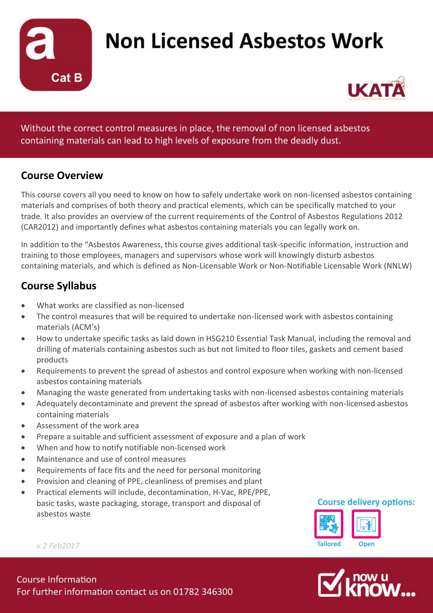

## **Non Licensed Asbestos Work**



Without the correct control measures in place, the removal of non licensed asbestos containing materials can lead to high levels of exposure from the deadly dust.

### **Course Overview**

This course covers all you need to know on how to safely undertake work on non-licensed asbestos containing materials and comprises of both theory and practical elements, which can be specifically matched to your trade. It also provides an overview of the current requirements of the Control of Asbestos Regulations 2012 (CAR2012) and importantly defines what asbestos containing materials you can legally work on.

In addition to the "Asbestos Awareness, this course gives additional task-specific information, instruction and training to those employees, managers and supervisors whose work will knowingly disturb asbestos containing materials, and which is defined as Non-Licensable Work or Non-Notifiable Licensable Work (NNLW)

## **Course Syllabus**

- What works are classified as non-licensed
- The control measures that will be required to undertake non-licensed work with asbestos containing materials (ACM's)
- How to undertake specific tasks as laid down in HSG210 Essential Task Manual, including the removal and drilling of materials containing asbestos such as but not limited to floor tiles, gaskets and cement based products
- Requirements to prevent the spread of asbestos and control exposure when working with non-licensed asbestos containing materials
- Managing the waste generated from undertaking tasks with non-licensed asbestos containing materials
- Adequately decontaminate and prevent the spread of asbestos after working with non-licensed asbestos containing materials
- Assessment of the work area
- Prepare a suitable and sufficient assessment of exposure and a plan of work
- When and how to notify notifiable non-licensed work
- Maintenance and use of control measures
- Requirements of face fits and the need for personal monitoring
- Provision and cleaning of PPE, cleanliness of premises and plant
- Practical elements will include, decontamination, H-Vac, RPE/PPE, basic tasks, waste packaging, storage, transport and disposal of asbestos waste

#### **Course delivery options:**





*v.2 Feb2017*